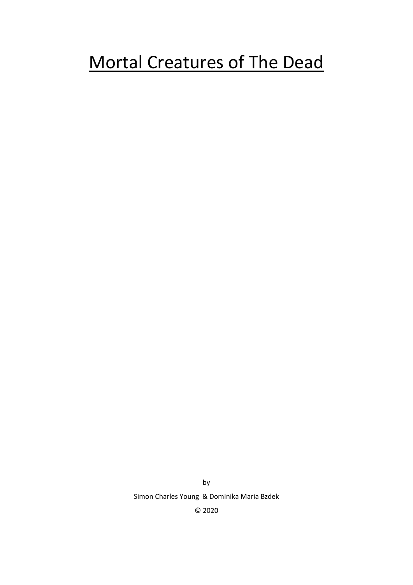# Mortal Creatures of The Dead

by Simon Charles Young & Dominika Maria Bzdek © 2020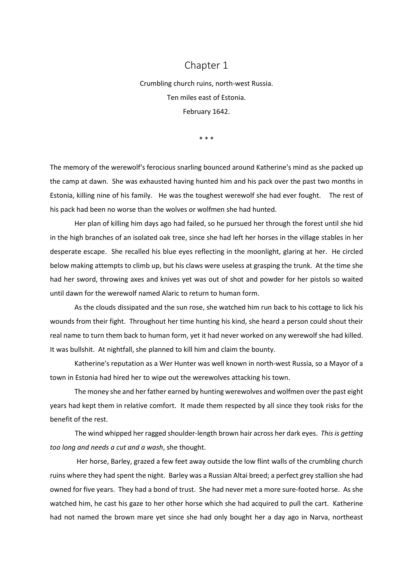## Chapter 1

Crumbling church ruins, north-west Russia. Ten miles east of Estonia. February 1642.

\* \* \*

The memory of the werewolf's ferocious snarling bounced around Katherine's mind as she packed up the camp at dawn. She was exhausted having hunted him and his pack over the past two months in Estonia, killing nine of his family. He was the toughest werewolf she had ever fought. The rest of his pack had been no worse than the wolves or wolfmen she had hunted.

Her plan of killing him days ago had failed, so he pursued her through the forest until she hid in the high branches of an isolated oak tree, since she had left her horses in the village stables in her desperate escape. She recalled his blue eyes reflecting in the moonlight, glaring at her. He circled below making attempts to climb up, but his claws were useless at grasping the trunk. At the time she had her sword, throwing axes and knives yet was out of shot and powder for her pistols so waited until dawn for the werewolf named Alaric to return to human form.

As the clouds dissipated and the sun rose, she watched him run back to his cottage to lick his wounds from their fight. Throughout her time hunting his kind, she heard a person could shout their real name to turn them back to human form, yet it had never worked on any werewolf she had killed. It was bullshit. At nightfall, she planned to kill him and claim the bounty.

Katherine's reputation as a Wer Hunter was well known in north-west Russia, so a Mayor of a town in Estonia had hired her to wipe out the werewolves attacking his town.

The money she and her father earned by hunting werewolves and wolfmen over the past eight years had kept them in relative comfort. It made them respected by all since they took risks for the benefit of the rest.

The wind whipped her ragged shoulder-length brown hair across her dark eyes. *This is getting too long and needs a cut and a wash*, she thought.

Her horse, Barley, grazed a few feet away outside the low flint walls of the crumbling church ruins where they had spent the night. Barley was a Russian Altai breed; a perfect grey stallion she had owned for five years. They had a bond of trust. She had never met a more sure-footed horse. As she watched him, he cast his gaze to her other horse which she had acquired to pull the cart. Katherine had not named the brown mare yet since she had only bought her a day ago in Narva, northeast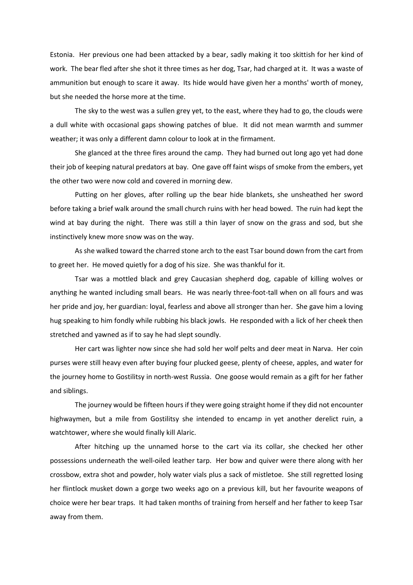Estonia. Her previous one had been attacked by a bear, sadly making it too skittish for her kind of work. The bear fled after she shot it three times as her dog, Tsar, had charged at it. It was a waste of ammunition but enough to scare it away. Its hide would have given her a months' worth of money, but she needed the horse more at the time.

The sky to the west was a sullen grey yet, to the east, where they had to go, the clouds were a dull white with occasional gaps showing patches of blue. It did not mean warmth and summer weather; it was only a different damn colour to look at in the firmament.

She glanced at the three fires around the camp. They had burned out long ago yet had done their job of keeping natural predators at bay. One gave off faint wisps of smoke from the embers, yet the other two were now cold and covered in morning dew.

Putting on her gloves, after rolling up the bear hide blankets, she unsheathed her sword before taking a brief walk around the small church ruins with her head bowed. The ruin had kept the wind at bay during the night. There was still a thin layer of snow on the grass and sod, but she instinctively knew more snow was on the way.

As she walked toward the charred stone arch to the east Tsar bound down from the cart from to greet her. He moved quietly for a dog of his size. She was thankful for it.

Tsar was a mottled black and grey Caucasian shepherd dog, capable of killing wolves or anything he wanted including small bears. He was nearly three-foot-tall when on all fours and was her pride and joy, her guardian: loyal, fearless and above all stronger than her. She gave him a loving hug speaking to him fondly while rubbing his black jowls. He responded with a lick of her cheek then stretched and yawned as if to say he had slept soundly.

Her cart was lighter now since she had sold her wolf pelts and deer meat in Narva. Her coin purses were still heavy even after buying four plucked geese, plenty of cheese, apples, and water for the journey home to Gostilitsy in north-west Russia. One goose would remain as a gift for her father and siblings.

The journey would be fifteen hours if they were going straight home if they did not encounter highwaymen, but a mile from Gostilitsy she intended to encamp in yet another derelict ruin, a watchtower, where she would finally kill Alaric.

After hitching up the unnamed horse to the cart via its collar, she checked her other possessions underneath the well-oiled leather tarp. Her bow and quiver were there along with her crossbow, extra shot and powder, holy water vials plus a sack of mistletoe. She still regretted losing her flintlock musket down a gorge two weeks ago on a previous kill, but her favourite weapons of choice were her bear traps. It had taken months of training from herself and her father to keep Tsar away from them.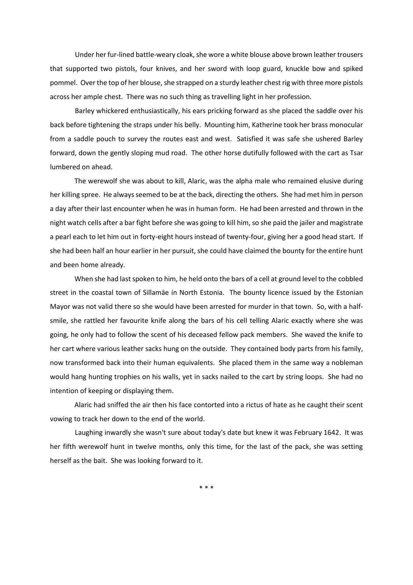Under her fur-lined battle-weary cloak, she wore a white blouse above brown leather trousers that supported two pistols, four knives, and her sword with loop guard, knuckle bow and spiked pommel. Over the top of her blouse, she strapped on a sturdy leather chest rig with three more pistols across her ample chest. There was no such thing as travelling light in her profession.

Barley whickered enthusiastically, his ears pricking forward as she placed the saddle over his back before tightening the straps under his belly. Mounting him, Katherine took her brass monocular from a saddle pouch to survey the routes east and west. Satisfied it was safe she ushered Barley forward, down the gently sloping mud road. The other horse dutifully followed with the cart as Tsar lumbered on ahead.

The werewolf she was about to kill, Alaric, was the alpha male who remained elusive during her killing spree. He always seemed to be at the back, directing the others. She had met him in person a day after their last encounter when he was in human form. He had been arrested and thrown in the night watch cells after a bar fight before she was going to kill him, so she paid the jailer and magistrate a pearl each to let him out in forty-eight hours instead of twenty-four, giving her a good head start. If she had been half an hour earlier in her pursuit, she could have claimed the bounty for the entire hunt and been home already.

When she had last spoken to him, he held onto the bars of a cell at ground level to the cobbled street in the coastal town of Sillamäe in North Estonia. The bounty licence issued by the Estonian Mayor was not valid there so she would have been arrested for murder in that town. So, with a halfsmile, she rattled her favourite knife along the bars of his cell telling Alaric exactly where she was going, he only had to follow the scent of his deceased fellow pack members. She waved the knife to her cart where various leather sacks hung on the outside. They contained body parts from his family, now transformed back into their human equivalents. She placed them in the same way a nobleman would hang hunting trophies on his walls, yet in sacks nailed to the cart by string loops. She had no intention of keeping or displaying them.

Alaric had sniffed the air then his face contorted into a rictus of hate as he caught their scent vowing to track her down to the end of the world.

Laughing inwardly she wasn't sure about today's date but knew it was February 1642. It was her fifth werewolf hunt in twelve months, only this time, for the last of the pack, she was setting herself as the bait. She was looking forward to it.

\* \* \*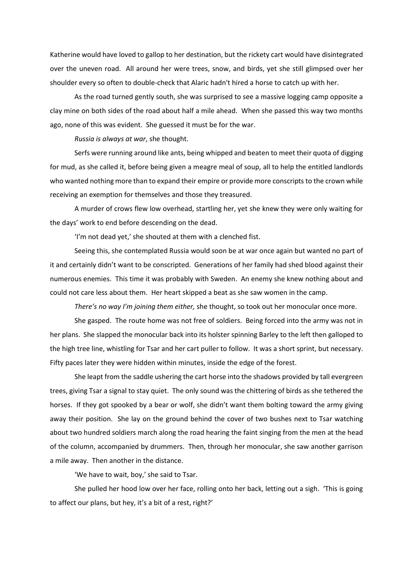Katherine would have loved to gallop to her destination, but the rickety cart would have disintegrated over the uneven road. All around her were trees, snow, and birds, yet she still glimpsed over her shoulder every so often to double-check that Alaric hadn't hired a horse to catch up with her.

As the road turned gently south, she was surprised to see a massive logging camp opposite a clay mine on both sides of the road about half a mile ahead. When she passed this way two months ago, none of this was evident. She guessed it must be for the war.

*Russia is always at war*, she thought.

Serfs were running around like ants, being whipped and beaten to meet their quota of digging for mud, as she called it, before being given a meagre meal of soup, all to help the entitled landlords who wanted nothing more than to expand their empire or provide more conscripts to the crown while receiving an exemption for themselves and those they treasured.

A murder of crows flew low overhead, startling her, yet she knew they were only waiting for the days' work to end before descending on the dead.

'I'm not dead yet,' she shouted at them with a clenched fist.

Seeing this, she contemplated Russia would soon be at war once again but wanted no part of it and certainly didn't want to be conscripted. Generations of her family had shed blood against their numerous enemies. This time it was probably with Sweden. An enemy she knew nothing about and could not care less about them. Her heart skipped a beat as she saw women in the camp.

*There's no way I'm joining them either,* she thought, so took out her monocular once more.

She gasped. The route home was not free of soldiers. Being forced into the army was not in her plans. She slapped the monocular back into its holster spinning Barley to the left then galloped to the high tree line, whistling for Tsar and her cart puller to follow. It was a short sprint, but necessary. Fifty paces later they were hidden within minutes, inside the edge of the forest.

She leapt from the saddle ushering the cart horse into the shadows provided by tall evergreen trees, giving Tsar a signal to stay quiet. The only sound was the chittering of birds as she tethered the horses. If they got spooked by a bear or wolf, she didn't want them bolting toward the army giving away their position. She lay on the ground behind the cover of two bushes next to Tsar watching about two hundred soldiers march along the road hearing the faint singing from the men at the head of the column, accompanied by drummers. Then, through her monocular, she saw another garrison a mile away. Then another in the distance.

'We have to wait, boy,' she said to Tsar.

She pulled her hood low over her face, rolling onto her back, letting out a sigh. 'This is going to affect our plans, but hey, it's a bit of a rest, right?'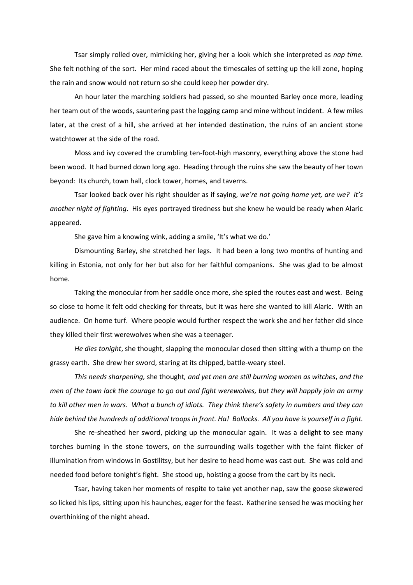Tsar simply rolled over, mimicking her, giving her a look which she interpreted as *nap time.*  She felt nothing of the sort. Her mind raced about the timescales of setting up the kill zone, hoping the rain and snow would not return so she could keep her powder dry.

An hour later the marching soldiers had passed, so she mounted Barley once more, leading her team out of the woods, sauntering past the logging camp and mine without incident. A few miles later, at the crest of a hill, she arrived at her intended destination, the ruins of an ancient stone watchtower at the side of the road.

Moss and ivy covered the crumbling ten-foot-high masonry, everything above the stone had been wood. It had burned down long ago. Heading through the ruins she saw the beauty of her town beyond: Its church, town hall, clock tower, homes, and taverns.

Tsar looked back over his right shoulder as if saying, *we're not going home yet, are we? It's another night of fighting*. His eyes portrayed tiredness but she knew he would be ready when Alaric appeared.

She gave him a knowing wink, adding a smile, 'It's what we do.'

Dismounting Barley, she stretched her legs. It had been a long two months of hunting and killing in Estonia, not only for her but also for her faithful companions. She was glad to be almost home.

Taking the monocular from her saddle once more, she spied the routes east and west. Being so close to home it felt odd checking for threats, but it was here she wanted to kill Alaric. With an audience. On home turf. Where people would further respect the work she and her father did since they killed their first werewolves when she was a teenager.

*He dies tonight*, she thought, slapping the monocular closed then sitting with a thump on the grassy earth. She drew her sword, staring at its chipped, battle-weary steel.

*This needs sharpening,* she thought*, and yet men are still burning women as witches*, *and the men of the town lack the courage to go out and fight werewolves, but they will happily join an army to kill other men in wars*. *What a bunch of idiots. They think there's safety in numbers and they can hide behind the hundreds of additional troops in front. Ha! Bollocks. All you have is yourself in a fight.*

She re-sheathed her sword, picking up the monocular again. It was a delight to see many torches burning in the stone towers, on the surrounding walls together with the faint flicker of illumination from windows in Gostilitsy, but her desire to head home was cast out. She was cold and needed food before tonight's fight. She stood up, hoisting a goose from the cart by its neck.

Tsar, having taken her moments of respite to take yet another nap, saw the goose skewered so licked his lips, sitting upon his haunches, eager for the feast. Katherine sensed he was mocking her overthinking of the night ahead.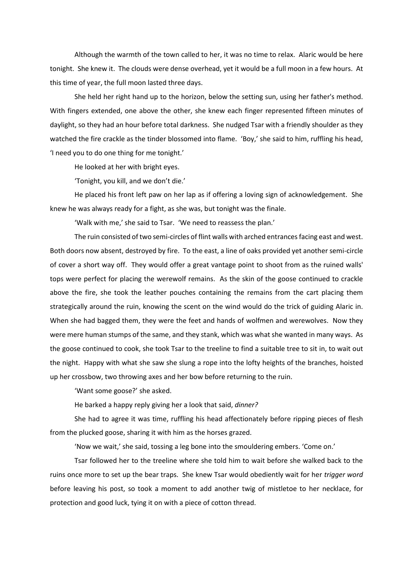Although the warmth of the town called to her, it was no time to relax. Alaric would be here tonight. She knew it. The clouds were dense overhead, yet it would be a full moon in a few hours. At this time of year, the full moon lasted three days.

She held her right hand up to the horizon, below the setting sun, using her father's method. With fingers extended, one above the other, she knew each finger represented fifteen minutes of daylight, so they had an hour before total darkness. She nudged Tsar with a friendly shoulder as they watched the fire crackle as the tinder blossomed into flame. 'Boy,' she said to him, ruffling his head, 'I need you to do one thing for me tonight.'

He looked at her with bright eyes.

'Tonight, you kill, and we don't die.'

He placed his front left paw on her lap as if offering a loving sign of acknowledgement. She knew he was always ready for a fight, as she was, but tonight was the finale.

'Walk with me,' she said to Tsar. 'We need to reassess the plan.'

The ruin consisted of two semi-circles of flint walls with arched entrances facing east and west. Both doors now absent, destroyed by fire. To the east, a line of oaks provided yet another semi-circle of cover a short way off. They would offer a great vantage point to shoot from as the ruined walls' tops were perfect for placing the werewolf remains. As the skin of the goose continued to crackle above the fire, she took the leather pouches containing the remains from the cart placing them strategically around the ruin, knowing the scent on the wind would do the trick of guiding Alaric in. When she had bagged them, they were the feet and hands of wolfmen and werewolves. Now they were mere human stumps of the same, and they stank, which was what she wanted in many ways. As the goose continued to cook, she took Tsar to the treeline to find a suitable tree to sit in, to wait out the night. Happy with what she saw she slung a rope into the lofty heights of the branches, hoisted up her crossbow, two throwing axes and her bow before returning to the ruin.

'Want some goose?' she asked.

He barked a happy reply giving her a look that said, *dinner?*

She had to agree it was time, ruffling his head affectionately before ripping pieces of flesh from the plucked goose, sharing it with him as the horses grazed.

'Now we wait,' she said, tossing a leg bone into the smouldering embers. 'Come on.'

Tsar followed her to the treeline where she told him to wait before she walked back to the ruins once more to set up the bear traps. She knew Tsar would obediently wait for her *trigger word*  before leaving his post, so took a moment to add another twig of mistletoe to her necklace, for protection and good luck, tying it on with a piece of cotton thread.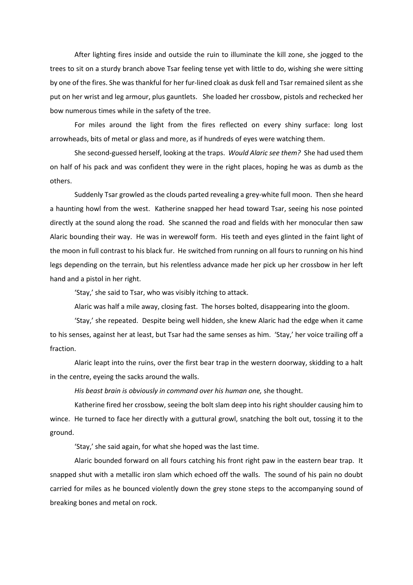After lighting fires inside and outside the ruin to illuminate the kill zone, she jogged to the trees to sit on a sturdy branch above Tsar feeling tense yet with little to do, wishing she were sitting by one of the fires. She was thankful for her fur-lined cloak as dusk fell and Tsar remained silent as she put on her wrist and leg armour, plus gauntlets. She loaded her crossbow, pistols and rechecked her bow numerous times while in the safety of the tree.

For miles around the light from the fires reflected on every shiny surface: long lost arrowheads, bits of metal or glass and more, as if hundreds of eyes were watching them.

She second-guessed herself, looking at the traps. *Would Alaric see them?* She had used them on half of his pack and was confident they were in the right places, hoping he was as dumb as the others.

Suddenly Tsar growled as the clouds parted revealing a grey-white full moon. Then she heard a haunting howl from the west. Katherine snapped her head toward Tsar, seeing his nose pointed directly at the sound along the road. She scanned the road and fields with her monocular then saw Alaric bounding their way. He was in werewolf form. His teeth and eyes glinted in the faint light of the moon in full contrast to his black fur. He switched from running on all fours to running on his hind legs depending on the terrain, but his relentless advance made her pick up her crossbow in her left hand and a pistol in her right.

'Stay,' she said to Tsar, who was visibly itching to attack.

Alaric was half a mile away, closing fast. The horses bolted, disappearing into the gloom.

'Stay,' she repeated. Despite being well hidden, she knew Alaric had the edge when it came to his senses, against her at least, but Tsar had the same senses as him. 'Stay,' her voice trailing off a fraction.

Alaric leapt into the ruins, over the first bear trap in the western doorway, skidding to a halt in the centre, eyeing the sacks around the walls.

*His beast brain is obviously in command over his human one,* she thought.

Katherine fired her crossbow, seeing the bolt slam deep into his right shoulder causing him to wince. He turned to face her directly with a guttural growl, snatching the bolt out, tossing it to the ground.

'Stay,' she said again, for what she hoped was the last time.

Alaric bounded forward on all fours catching his front right paw in the eastern bear trap. It snapped shut with a metallic iron slam which echoed off the walls. The sound of his pain no doubt carried for miles as he bounced violently down the grey stone steps to the accompanying sound of breaking bones and metal on rock.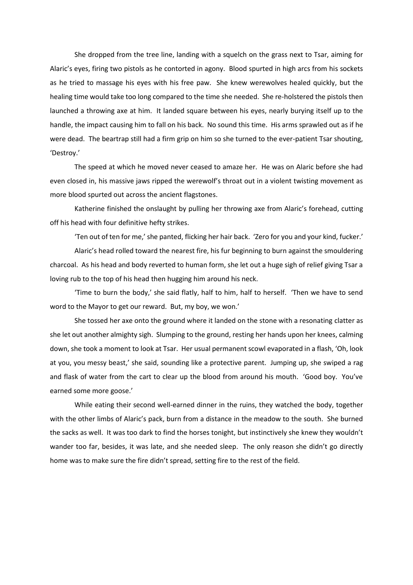She dropped from the tree line, landing with a squelch on the grass next to Tsar, aiming for Alaric's eyes, firing two pistols as he contorted in agony. Blood spurted in high arcs from his sockets as he tried to massage his eyes with his free paw. She knew werewolves healed quickly, but the healing time would take too long compared to the time she needed. She re-holstered the pistols then launched a throwing axe at him. It landed square between his eyes, nearly burying itself up to the handle, the impact causing him to fall on his back. No sound this time. His arms sprawled out as if he were dead. The beartrap still had a firm grip on him so she turned to the ever-patient Tsar shouting, 'Destroy.'

The speed at which he moved never ceased to amaze her. He was on Alaric before she had even closed in, his massive jaws ripped the werewolf's throat out in a violent twisting movement as more blood spurted out across the ancient flagstones.

Katherine finished the onslaught by pulling her throwing axe from Alaric's forehead, cutting off his head with four definitive hefty strikes.

'Ten out of ten for me,' she panted, flicking her hair back. 'Zero for you and your kind, fucker.'

Alaric's head rolled toward the nearest fire, his fur beginning to burn against the smouldering charcoal. As his head and body reverted to human form, she let out a huge sigh of relief giving Tsar a loving rub to the top of his head then hugging him around his neck.

'Time to burn the body,' she said flatly, half to him, half to herself. 'Then we have to send word to the Mayor to get our reward. But, my boy, we won.'

She tossed her axe onto the ground where it landed on the stone with a resonating clatter as she let out another almighty sigh. Slumping to the ground, resting her hands upon her knees, calming down, she took a moment to look at Tsar. Her usual permanent scowl evaporated in a flash, 'Oh, look at you, you messy beast,' she said, sounding like a protective parent. Jumping up, she swiped a rag and flask of water from the cart to clear up the blood from around his mouth. 'Good boy. You've earned some more goose.'

While eating their second well-earned dinner in the ruins, they watched the body, together with the other limbs of Alaric's pack, burn from a distance in the meadow to the south. She burned the sacks as well. It was too dark to find the horses tonight, but instinctively she knew they wouldn't wander too far, besides, it was late, and she needed sleep. The only reason she didn't go directly home was to make sure the fire didn't spread, setting fire to the rest of the field.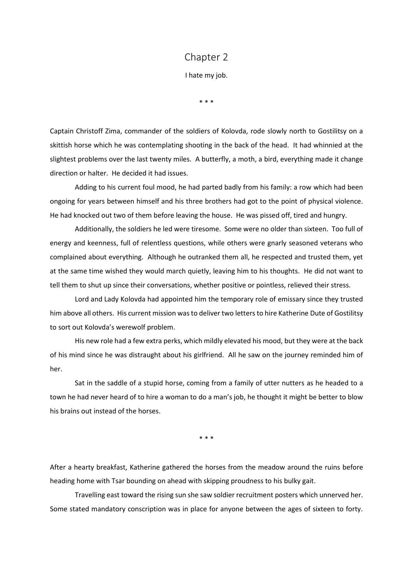### Chapter 2

I hate my job.

\* \* \*

Captain Christoff Zima, commander of the soldiers of Kolovda, rode slowly north to Gostilitsy on a skittish horse which he was contemplating shooting in the back of the head. It had whinnied at the slightest problems over the last twenty miles. A butterfly, a moth, a bird, everything made it change direction or halter. He decided it had issues.

Adding to his current foul mood, he had parted badly from his family: a row which had been ongoing for years between himself and his three brothers had got to the point of physical violence. He had knocked out two of them before leaving the house. He was pissed off, tired and hungry.

Additionally, the soldiers he led were tiresome. Some were no older than sixteen. Too full of energy and keenness, full of relentless questions, while others were gnarly seasoned veterans who complained about everything. Although he outranked them all, he respected and trusted them, yet at the same time wished they would march quietly, leaving him to his thoughts. He did not want to tell them to shut up since their conversations, whether positive or pointless, relieved their stress.

Lord and Lady Kolovda had appointed him the temporary role of emissary since they trusted him above all others. His current mission was to deliver two letters to hire Katherine Dute of Gostilitsy to sort out Kolovda's werewolf problem.

His new role had a few extra perks, which mildly elevated his mood, but they were at the back of his mind since he was distraught about his girlfriend. All he saw on the journey reminded him of her.

Sat in the saddle of a stupid horse, coming from a family of utter nutters as he headed to a town he had never heard of to hire a woman to do a man's job, he thought it might be better to blow his brains out instead of the horses.

\* \* \*

After a hearty breakfast, Katherine gathered the horses from the meadow around the ruins before heading home with Tsar bounding on ahead with skipping proudness to his bulky gait.

Travelling east toward the rising sun she saw soldier recruitment posters which unnerved her. Some stated mandatory conscription was in place for anyone between the ages of sixteen to forty.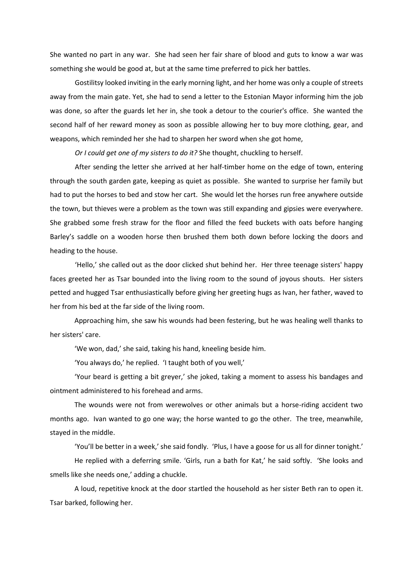She wanted no part in any war. She had seen her fair share of blood and guts to know a war was something she would be good at, but at the same time preferred to pick her battles.

Gostilitsy looked inviting in the early morning light, and her home was only a couple of streets away from the main gate. Yet, she had to send a letter to the Estonian Mayor informing him the job was done, so after the guards let her in, she took a detour to the courier's office. She wanted the second half of her reward money as soon as possible allowing her to buy more clothing, gear, and weapons, which reminded her she had to sharpen her sword when she got home,

*Or I could get one of my sisters to do it?* She thought, chuckling to herself.

After sending the letter she arrived at her half-timber home on the edge of town, entering through the south garden gate, keeping as quiet as possible. She wanted to surprise her family but had to put the horses to bed and stow her cart. She would let the horses run free anywhere outside the town, but thieves were a problem as the town was still expanding and gipsies were everywhere. She grabbed some fresh straw for the floor and filled the feed buckets with oats before hanging Barley's saddle on a wooden horse then brushed them both down before locking the doors and heading to the house.

'Hello,' she called out as the door clicked shut behind her. Her three teenage sisters' happy faces greeted her as Tsar bounded into the living room to the sound of joyous shouts. Her sisters petted and hugged Tsar enthusiastically before giving her greeting hugs as Ivan, her father, waved to her from his bed at the far side of the living room.

Approaching him, she saw his wounds had been festering, but he was healing well thanks to her sisters' care.

'We won, dad,' she said, taking his hand, kneeling beside him.

'You always do,' he replied. 'I taught both of you well,'

'Your beard is getting a bit greyer,' she joked, taking a moment to assess his bandages and ointment administered to his forehead and arms.

The wounds were not from werewolves or other animals but a horse-riding accident two months ago. Ivan wanted to go one way; the horse wanted to go the other. The tree, meanwhile, stayed in the middle.

'You'll be better in a week,' she said fondly. 'Plus, I have a goose for us all for dinner tonight.'

He replied with a deferring smile. 'Girls, run a bath for Kat,' he said softly. 'She looks and smells like she needs one,' adding a chuckle.

A loud, repetitive knock at the door startled the household as her sister Beth ran to open it. Tsar barked, following her.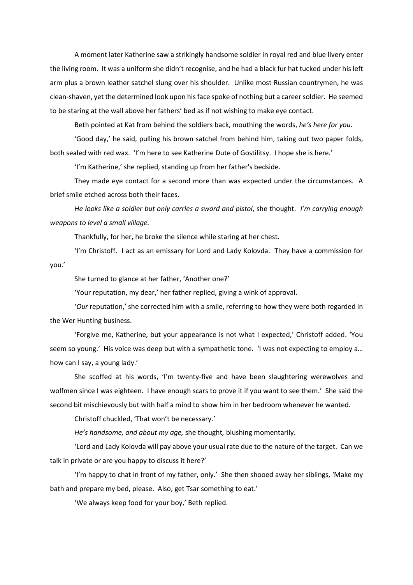A moment later Katherine saw a strikingly handsome soldier in royal red and blue livery enter the living room. It was a uniform she didn't recognise, and he had a black fur hat tucked under his left arm plus a brown leather satchel slung over his shoulder. Unlike most Russian countrymen, he was clean-shaven, yet the determined look upon his face spoke of nothing but a career soldier. He seemed to be staring at the wall above her fathers' bed as if not wishing to make eye contact.

Beth pointed at Kat from behind the soldiers back, mouthing the words, *he's here for you*.

'Good day,' he said, pulling his brown satchel from behind him, taking out two paper folds, both sealed with red wax. 'I'm here to see Katherine Dute of Gostilitsy. I hope she is here.'

'I'm Katherine,' she replied, standing up from her father's bedside.

They made eye contact for a second more than was expected under the circumstances. A brief smile etched across both their faces.

*He looks like a soldier but only carries a sword and pistol*, she thought. *I'm carrying enough weapons to level a small village.*

Thankfully, for her, he broke the silence while staring at her chest.

'I'm Christoff. I act as an emissary for Lord and Lady Kolovda. They have a commission for you.'

She turned to glance at her father, 'Another one?'

'Your reputation, my dear,' her father replied, giving a wink of approval.

'*Our* reputation,' she corrected him with a smile, referring to how they were both regarded in the Wer Hunting business.

'Forgive me, Katherine, but your appearance is not what I expected,' Christoff added. 'You seem so young.' His voice was deep but with a sympathetic tone. 'I was not expecting to employ a… how can I say, a young lady.'

She scoffed at his words, 'I'm twenty-five and have been slaughtering werewolves and wolfmen since I was eighteen. I have enough scars to prove it if you want to see them.' She said the second bit mischievously but with half a mind to show him in her bedroom whenever he wanted.

Christoff chuckled, 'That won't be necessary.'

*He's handsome, and about my age,* she thought*,* blushing momentarily.

'Lord and Lady Kolovda will pay above your usual rate due to the nature of the target. Can we talk in private or are you happy to discuss it here?'

'I'm happy to chat in front of my father, only.' She then shooed away her siblings, 'Make my bath and prepare my bed, please. Also, get Tsar something to eat.'

'We always keep food for your boy,' Beth replied.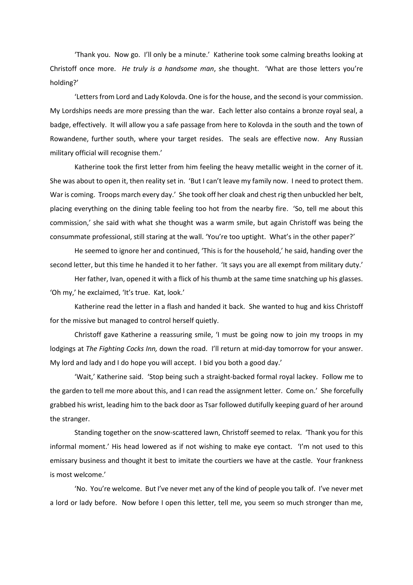'Thank you. Now go. I'll only be a minute.' Katherine took some calming breaths looking at Christoff once more. *He truly is a handsome man*, she thought. 'What are those letters you're holding?'

'Letters from Lord and Lady Kolovda. One is for the house, and the second is your commission. My Lordships needs are more pressing than the war. Each letter also contains a bronze royal seal, a badge, effectively. It will allow you a safe passage from here to Kolovda in the south and the town of Rowandene, further south, where your target resides. The seals are effective now. Any Russian military official will recognise them.'

Katherine took the first letter from him feeling the heavy metallic weight in the corner of it. She was about to open it, then reality set in. 'But I can't leave my family now. I need to protect them. War is coming. Troops march every day.' She took off her cloak and chest rig then unbuckled her belt, placing everything on the dining table feeling too hot from the nearby fire. 'So, tell me about this commission,' she said with what she thought was a warm smile, but again Christoff was being the consummate professional, still staring at the wall. 'You're too uptight. What's in the other paper?'

He seemed to ignore her and continued, 'This is for the household,' he said, handing over the second letter, but this time he handed it to her father. 'It says you are all exempt from military duty.'

Her father, Ivan, opened it with a flick of his thumb at the same time snatching up his glasses. 'Oh my,' he exclaimed, 'It's true. Kat, look.'

Katherine read the letter in a flash and handed it back. She wanted to hug and kiss Christoff for the missive but managed to control herself quietly.

Christoff gave Katherine a reassuring smile, 'I must be going now to join my troops in my lodgings at *The Fighting Cocks Inn,* down the road. I'll return at mid-day tomorrow for your answer. My lord and lady and I do hope you will accept. I bid you both a good day.'

'Wait,' Katherine said. 'Stop being such a straight-backed formal royal lackey. Follow me to the garden to tell me more about this, and I can read the assignment letter. Come on.' She forcefully grabbed his wrist, leading him to the back door as Tsar followed dutifully keeping guard of her around the stranger.

Standing together on the snow-scattered lawn, Christoff seemed to relax. 'Thank you for this informal moment.' His head lowered as if not wishing to make eye contact. 'I'm not used to this emissary business and thought it best to imitate the courtiers we have at the castle. Your frankness is most welcome.'

'No. You're welcome. But I've never met any of the kind of people you talk of. I've never met a lord or lady before. Now before I open this letter, tell me, you seem so much stronger than me,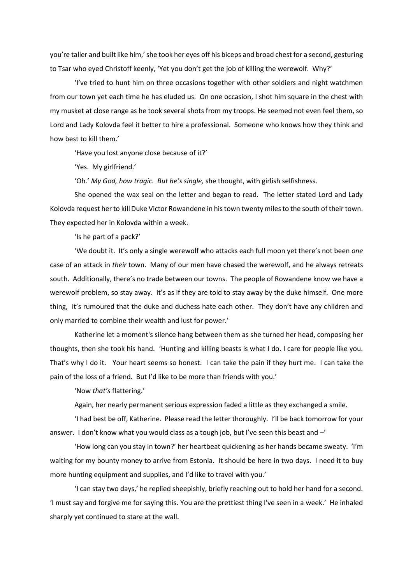you're taller and built like him,' she took her eyes off his biceps and broad chest for a second, gesturing to Tsar who eyed Christoff keenly, 'Yet you don't get the job of killing the werewolf. Why?'

'I've tried to hunt him on three occasions together with other soldiers and night watchmen from our town yet each time he has eluded us. On one occasion, I shot him square in the chest with my musket at close range as he took several shots from my troops. He seemed not even feel them, so Lord and Lady Kolovda feel it better to hire a professional. Someone who knows how they think and how best to kill them.'

'Have you lost anyone close because of it?'

'Yes. My girlfriend.'

'Oh.' *My God, how tragic. But he's single,* she thought, with girlish selfishness.

She opened the wax seal on the letter and began to read. The letter stated Lord and Lady Kolovda request her to kill Duke Victor Rowandene in histown twenty miles to the south of their town. They expected her in Kolovda within a week.

'Is he part of a pack?'

'We doubt it. It's only a single werewolf who attacks each full moon yet there's not been *one* case of an attack in *their* town. Many of our men have chased the werewolf, and he always retreats south. Additionally, there's no trade between our towns. The people of Rowandene know we have a werewolf problem, so stay away. It's as if they are told to stay away by the duke himself. One more thing, it's rumoured that the duke and duchess hate each other. They don't have any children and only married to combine their wealth and lust for power.'

Katherine let a moment's silence hang between them as she turned her head, composing her thoughts, then she took his hand. 'Hunting and killing beasts is what I do. I care for people like you. That's why I do it. Your heart seems so honest. I can take the pain if they hurt me. I can take the pain of the loss of a friend. But I'd like to be more than friends with you.'

'Now *that's* flattering.'

Again, her nearly permanent serious expression faded a little as they exchanged a smile.

'I had best be off, Katherine. Please read the letter thoroughly. I'll be back tomorrow for your answer. I don't know what you would class as a tough job, but I've seen this beast and –'

'How long can you stay in town?' her heartbeat quickening as her hands became sweaty. 'I'm waiting for my bounty money to arrive from Estonia. It should be here in two days. I need it to buy more hunting equipment and supplies, and I'd like to travel with you.'

'I can stay two days,' he replied sheepishly, briefly reaching out to hold her hand for a second. 'I must say and forgive me for saying this. You are the prettiest thing I've seen in a week.' He inhaled sharply yet continued to stare at the wall.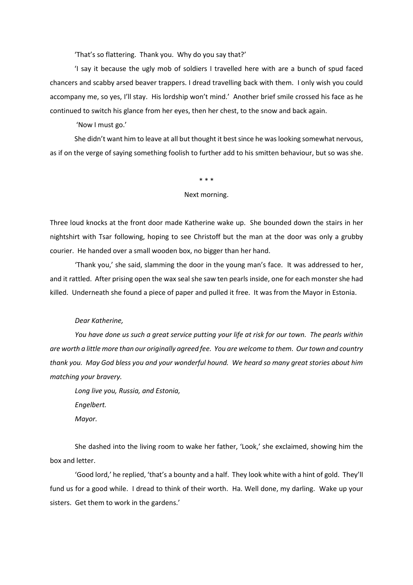'That's so flattering. Thank you. Why do you say that?'

'I say it because the ugly mob of soldiers I travelled here with are a bunch of spud faced chancers and scabby arsed beaver trappers. I dread travelling back with them. I only wish you could accompany me, so yes, I'll stay. His lordship won't mind.' Another brief smile crossed his face as he continued to switch his glance from her eyes, then her chest, to the snow and back again.

'Now I must go.'

She didn't want him to leave at all but thought it best since he was looking somewhat nervous, as if on the verge of saying something foolish to further add to his smitten behaviour, but so was she.

#### \* \* \*

#### Next morning.

Three loud knocks at the front door made Katherine wake up. She bounded down the stairs in her nightshirt with Tsar following, hoping to see Christoff but the man at the door was only a grubby courier. He handed over a small wooden box, no bigger than her hand.

'Thank you,' she said, slamming the door in the young man's face. It was addressed to her, and it rattled. After prising open the wax seal she saw ten pearls inside, one for each monster she had killed. Underneath she found a piece of paper and pulled it free. It was from the Mayor in Estonia.

#### *Dear Katherine,*

*You have done us such a great service putting your life at risk for our town. The pearls within are worth a little more than our originally agreed fee. You are welcome to them. Our town and country thank you. May God bless you and your wonderful hound. We heard so many great stories about him matching your bravery.*

*Long live you, Russia, and Estonia, Engelbert. Mayor.*

She dashed into the living room to wake her father, 'Look,' she exclaimed, showing him the box and letter.

'Good lord,' he replied, 'that's a bounty and a half. They look white with a hint of gold. They'll fund us for a good while. I dread to think of their worth. Ha. Well done, my darling. Wake up your sisters. Get them to work in the gardens.'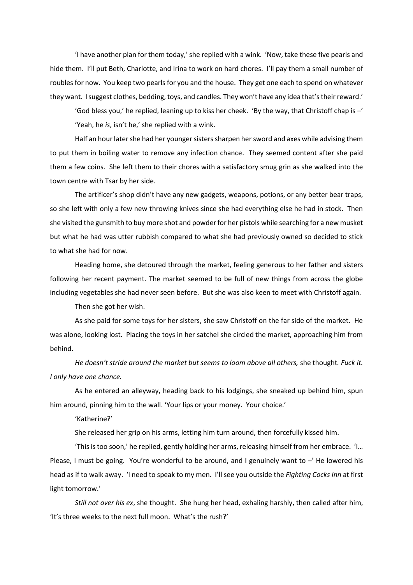'I have another plan for them today,' she replied with a wink. 'Now, take these five pearls and hide them. I'll put Beth, Charlotte, and Irina to work on hard chores. I'll pay them a small number of roubles for now. You keep two pearls for you and the house. They get one each to spend on whatever they want. I suggest clothes, bedding, toys, and candles. They won't have any idea that's their reward.'

'God bless you,' he replied, leaning up to kiss her cheek. 'By the way, that Christoff chap is –' 'Yeah, he *is*, isn't he,' she replied with a wink.

Half an hour later she had her younger sisters sharpen her sword and axes while advising them to put them in boiling water to remove any infection chance. They seemed content after she paid them a few coins. She left them to their chores with a satisfactory smug grin as she walked into the town centre with Tsar by her side.

The artificer's shop didn't have any new gadgets, weapons, potions, or any better bear traps, so she left with only a few new throwing knives since she had everything else he had in stock. Then she visited the gunsmith to buy more shot and powder for her pistols while searching for a new musket but what he had was utter rubbish compared to what she had previously owned so decided to stick to what she had for now.

Heading home, she detoured through the market, feeling generous to her father and sisters following her recent payment. The market seemed to be full of new things from across the globe including vegetables she had never seen before. But she was also keen to meet with Christoff again.

Then she got her wish.

As she paid for some toys for her sisters, she saw Christoff on the far side of the market. He was alone, looking lost. Placing the toys in her satchel she circled the market, approaching him from behind.

*He doesn't stride around the market but seems to loom above all others,* she thought*. Fuck it. I only have one chance.*

As he entered an alleyway, heading back to his lodgings, she sneaked up behind him, spun him around, pinning him to the wall. 'Your lips or your money. Your choice.'

'Katherine?'

She released her grip on his arms, letting him turn around, then forcefully kissed him.

'This is too soon,' he replied, gently holding her arms, releasing himself from her embrace. 'I… Please, I must be going. You're wonderful to be around, and I genuinely want to  $-$ ' He lowered his head as if to walk away. 'I need to speak to my men. I'll see you outside the *Fighting Cocks Inn* at first light tomorrow.'

*Still not over his ex*, she thought. She hung her head, exhaling harshly, then called after him, 'It's three weeks to the next full moon. What's the rush?'